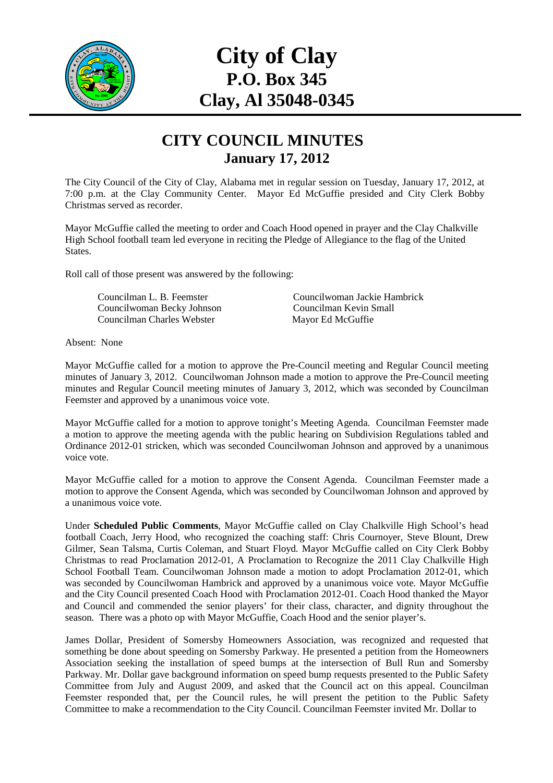

## **City of Clay P.O. Box 345 Clay, Al 35048-0345**

## **CITY COUNCIL MINUTES January 17, 2012**

The City Council of the City of Clay, Alabama met in regular session on Tuesday, January 17, 2012, at 7:00 p.m. at the Clay Community Center. Mayor Ed McGuffie presided and City Clerk Bobby Christmas served as recorder.

Mayor McGuffie called the meeting to order and Coach Hood opened in prayer and the Clay Chalkville High School football team led everyone in reciting the Pledge of Allegiance to the flag of the United States.

Roll call of those present was answered by the following:

Councilwoman Becky Johnson Councilman Kevin Small Councilman Charles Webster Mayor Ed McGuffie

Councilman L. B. Feemster Councilwoman Jackie Hambrick

Absent: None

Mayor McGuffie called for a motion to approve the Pre-Council meeting and Regular Council meeting minutes of January 3, 2012. Councilwoman Johnson made a motion to approve the Pre-Council meeting minutes and Regular Council meeting minutes of January 3, 2012, which was seconded by Councilman Feemster and approved by a unanimous voice vote.

Mayor McGuffie called for a motion to approve tonight's Meeting Agenda. Councilman Feemster made a motion to approve the meeting agenda with the public hearing on Subdivision Regulations tabled and Ordinance 2012-01 stricken, which was seconded Councilwoman Johnson and approved by a unanimous voice vote.

Mayor McGuffie called for a motion to approve the Consent Agenda. Councilman Feemster made a motion to approve the Consent Agenda, which was seconded by Councilwoman Johnson and approved by a unanimous voice vote.

Under **Scheduled Public Comments**, Mayor McGuffie called on Clay Chalkville High School's head football Coach, Jerry Hood, who recognized the coaching staff: Chris Cournoyer, Steve Blount, Drew Gilmer, Sean Talsma, Curtis Coleman, and Stuart Floyd. Mayor McGuffie called on City Clerk Bobby Christmas to read Proclamation 2012-01, A Proclamation to Recognize the 2011 Clay Chalkville High School Football Team. Councilwoman Johnson made a motion to adopt Proclamation 2012-01, which was seconded by Councilwoman Hambrick and approved by a unanimous voice vote. Mayor McGuffie and the City Council presented Coach Hood with Proclamation 2012-01. Coach Hood thanked the Mayor and Council and commended the senior players' for their class, character, and dignity throughout the season. There was a photo op with Mayor McGuffie, Coach Hood and the senior player's.

James Dollar, President of Somersby Homeowners Association, was recognized and requested that something be done about speeding on Somersby Parkway. He presented a petition from the Homeowners Association seeking the installation of speed bumps at the intersection of Bull Run and Somersby Parkway. Mr. Dollar gave background information on speed bump requests presented to the Public Safety Committee from July and August 2009, and asked that the Council act on this appeal. Councilman Feemster responded that, per the Council rules, he will present the petition to the Public Safety Committee to make a recommendation to the City Council. Councilman Feemster invited Mr. Dollar to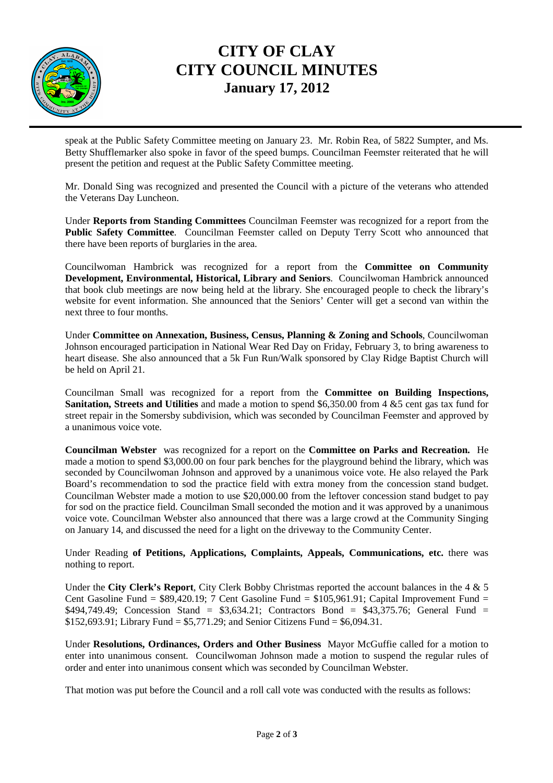

## **CITY OF CLAY CITY COUNCIL MINUTES January 17, 2012**

speak at the Public Safety Committee meeting on January 23. Mr. Robin Rea, of 5822 Sumpter, and Ms. Betty Shufflemarker also spoke in favor of the speed bumps. Councilman Feemster reiterated that he will present the petition and request at the Public Safety Committee meeting.

Mr. Donald Sing was recognized and presented the Council with a picture of the veterans who attended the Veterans Day Luncheon.

Under **Reports from Standing Committees** Councilman Feemster was recognized for a report from the **Public Safety Committee**. Councilman Feemster called on Deputy Terry Scott who announced that there have been reports of burglaries in the area.

Councilwoman Hambrick was recognized for a report from the **Committee on Community Development, Environmental, Historical, Library and Seniors**. Councilwoman Hambrick announced that book club meetings are now being held at the library. She encouraged people to check the library's website for event information. She announced that the Seniors' Center will get a second van within the next three to four months.

Under **Committee on Annexation, Business, Census, Planning & Zoning and Schools**, Councilwoman Johnson encouraged participation in National Wear Red Day on Friday, February 3, to bring awareness to heart disease. She also announced that a 5k Fun Run/Walk sponsored by Clay Ridge Baptist Church will be held on April 21.

Councilman Small was recognized for a report from the **Committee on Building Inspections, Sanitation, Streets and Utilities** and made a motion to spend \$6,350.00 from 4 &5 cent gas tax fund for street repair in the Somersby subdivision, which was seconded by Councilman Feemster and approved by a unanimous voice vote.

**Councilman Webster** was recognized for a report on the **Committee on Parks and Recreation.** He made a motion to spend \$3,000.00 on four park benches for the playground behind the library, which was seconded by Councilwoman Johnson and approved by a unanimous voice vote. He also relayed the Park Board's recommendation to sod the practice field with extra money from the concession stand budget. Councilman Webster made a motion to use \$20,000.00 from the leftover concession stand budget to pay for sod on the practice field. Councilman Small seconded the motion and it was approved by a unanimous voice vote. Councilman Webster also announced that there was a large crowd at the Community Singing on January 14, and discussed the need for a light on the driveway to the Community Center.

Under Reading **of Petitions, Applications, Complaints, Appeals, Communications, etc.** there was nothing to report.

Under the **City Clerk's Report**, City Clerk Bobby Christmas reported the account balances in the 4 & 5 Cent Gasoline Fund =  $$89,420.19$ ; 7 Cent Gasoline Fund =  $$105,961.91$ ; Capital Improvement Fund = \$494,749.49; Concession Stand = \$3,634.21; Contractors Bond = \$43,375.76; General Fund = \$152,693.91; Library Fund = \$5,771.29; and Senior Citizens Fund = \$6,094.31.

Under **Resolutions, Ordinances, Orders and Other Business** Mayor McGuffie called for a motion to enter into unanimous consent. Councilwoman Johnson made a motion to suspend the regular rules of order and enter into unanimous consent which was seconded by Councilman Webster.

That motion was put before the Council and a roll call vote was conducted with the results as follows: